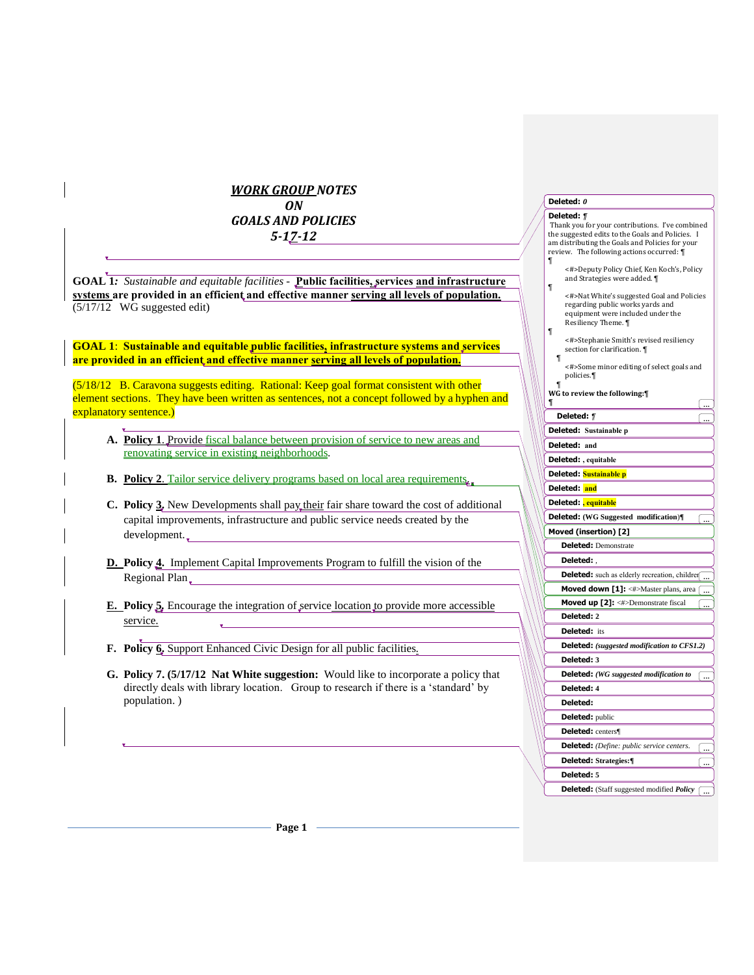# *WORK GROUP NOTES ON*

*GOALS AND POLICIES 5-17-12*

**GOAL 1***: Sustainable and equitable facilities -* **Public facilities, services and infrastructure systems are provided in an efficient and effective manner serving all levels of population.** (5/17/12 WG suggested edit)

**GOAL 1**: **Sustainable and equitable public facilities, infrastructure systems and services are provided in an efficient and effective manner serving all levels of population.**

(5/18/12 B. Caravona suggests editing. Rational: Keep goal format consistent with other element sections. They have been written as sentences, not a concept followed by a hyphen and explanatory sentence.)

- **A. Policy 1**. Provide fiscal balance between provision of service to new areas and renovating service in existing neighborhoods.
- **B. Policy 2**. Tailor service delivery programs based on local area requirements.
- **C.** Policy 3. New Developments shall pay their fair share toward the cost of additional capital improvements, infrastructure and public service needs created by the development.
- **D. Policy 4.**Implement Capital Improvements Program to fulfill the vision of the Regional Plan
- **E. Policy 5***.* Encourage the integration of service location to provide more accessible service.
- **F. Policy 6.** Support Enhanced Civic Design for all public facilities*.*
- **G. Policy 7. (5/17/12 Nat White suggestion:** Would like to incorporate a policy that directly deals with library location. Group to research if there is a 'standard' by population. )

# **Deleted:** *0*

## **Deleted:** *¶* Thank you for your contributions. I've combined the suggested edits to the Goals and Policies. I am distributing the Goals and Policies for your review. The following actions occurred: ¶ ¶ <#>Deputy Policy Chief, Ken Koch's, Policy and Strategies were added. ¶ ¶ <#>Nat White's suggested Goal and Policies regarding public works yards and equipment were included under the Resiliency Theme. ¶ ¶ <#>Stephanie Smith's revised resiliency section for clarification. ¶ ¶ <#>Some minor editing of select goals and policies.¶ ¶ **WG to review the following:¶ ¶** ... **Deleted:** *¶* ... **Deleted: Sustainable p Deleted: and Deleted: , equitable Deleted: Sustainable p Deleted: and Deleted: , equitable Deleted: (WG Suggested modification**)**¶** ... **Moved (insertion) [2] Deleted:** Demonstrate **Deleted:** , **Deleted:** such as elderly recreation, children ... **Moved down [1]:** <#>Master plans, area ( ... **Moved up [2]:** <#>Demonstrate fiscal **Deleted: 2 Deleted:** its **Deleted:** *(suggested modification to CFS1.2)* **Deleted: 3 Deleted:** *(WG suggested modification to*  ... **Deleted: 4 Deleted: Deleted:** public **Deleted:** centers¶ **Deleted:** *(Define: public service centers.*  ... **Deleted: Strategies:¶** ... **Deleted: 5 Deleted:** (Staff suggested modified *Policy*  ...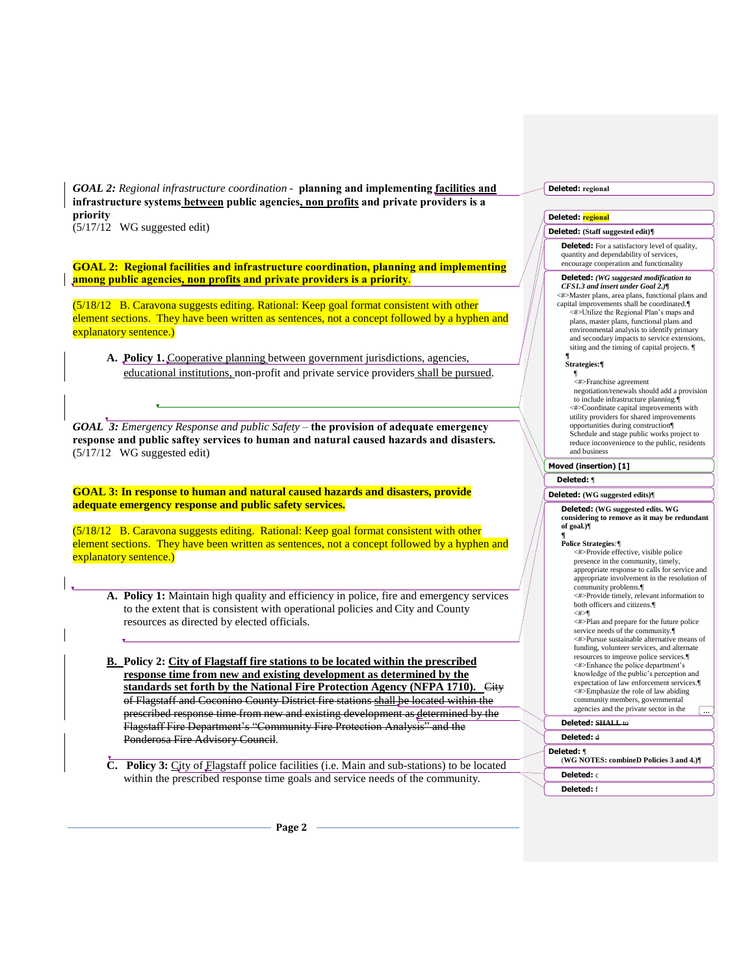*GOAL 2: Regional infrastructure coordination -* **planning and implementing facilities and infrastructure systems between public agencies, non profits and private providers is a priority** (5/17/12 WG suggested edit)

**GOAL 2: Regional facilities and infrastructure coordination, planning and implementing among public agencies, non profits and private providers is a priority**.

(5/18/12 B. Caravona suggests editing. Rational: Keep goal format consistent with other element sections. They have been written as sentences, not a concept followed by a hyphen and explanatory sentence.)

**A. Policy 1.** Cooperative planning between government jurisdictions, agencies, educational institutions, non-profit and private service providers shall be pursued.

*GOAL 3: Emergency Response and public Safety –* **the provision of adequate emergency response and public saftey services to human and natural caused hazards and disasters.**  (5/17/12 WG suggested edit)

**GOAL 3: In response to human and natural caused hazards and disasters, provide adequate emergency response and public safety services.**

(5/18/12 B. Caravona suggests editing. Rational: Keep goal format consistent with other element sections. They have been written as sentences, not a concept followed by a hyphen and explanatory sentence.)

**A. Policy 1:** Maintain high quality and efficiency in police, fire and emergency services to the extent that is consistent with operational policies and City and County resources as directed by elected officials.

**B. Policy 2: City of Flagstaff fire stations to be located within the prescribed response time from new and existing development as determined by the standards set forth by the National Fire Protection Agency (NFPA 1710).** City of Flagstaff and Coconino County District fire stations shall be located within the prescribed response time from new and existing development as determined by the Flagstaff Fire Department's "Community Fire Protection Analysis" and the Ponderosa Fire Advisory Council.

**C. Policy 3:** City of Flagstaff police facilities (i.e. Main and sub-stations) to be located within the prescribed response time goals and service needs of the community.

**Deleted: regional** 

### **Deleted: regional**

## **Deleted: (Staff suggested edit)¶**

**Deleted:** For a satisfactory level of quality, quantity and dependability of services, encourage cooperation and functionality

### **Deleted:** *(WG suggested modification to CFS1.3 and insert under Goal 2.)¶*

<#>Master plans, area plans, functional plans and capital improvements shall be coordinated.¶ <#>Utilize the Regional Plan's maps and plans, master plans, functional plans and environmental analysis to identify primary and secondary impacts to service extensions, siting and the timing of capital projects. ¶

#### **¶ Strategies:¶**

¶ <#>Franchise agreement negotiation/renewals should add a provision to include infrastructure planning.¶ <#>Coordinate capital improvements with utility providers for shared improvements opportunities during construction¶ Schedule and stage public works project to reduce inconvenience to the public, residents and business

## **Moved (insertion) [1]**

**Deleted:** ¶

## **Deleted: (WG suggested edits)**¶

**Deleted: (WG suggested edits. WG considering to remove as it may be redundant of goal.)**¶ **¶**

#### **Police Strategies***:¶*

<#>Provide effective, visible police presence in the community, timely, appropriate response to calls for service and appropriate involvement in the resolution of community problems.¶ <#>Provide timely, relevant information to both officers and citizens.¶ <#>¶ <#>Plan and prepare for the future police service needs of the community. <#>Pursue sustainable alternative means of

funding, volunteer services, and alternate resources to improve police services.¶ <#>Enhance the police department's knowledge of the public's perception and expectation of law enforcement services.¶ <#>Emphasize the role of law abiding community members, governmental agencies and the private sector in the

...

**Deleted: SHALL** to

## **Deleted:** d

**Deleted:** ¶ (**WG NOTES: combineD Policies 3 and 4.)**¶

**Deleted:** c

**Deleted:** f